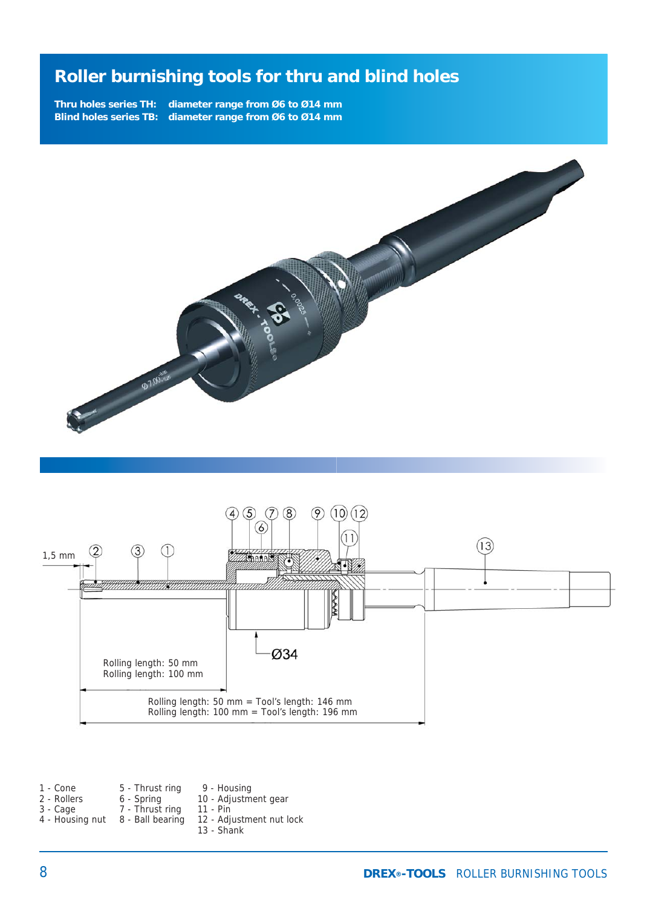**Thru holes series TH: diameter range from Ø6 to Ø14 mm Blind holes series TB: diameter range from Ø6 to Ø14 mm**





1 - Cone 2 - Rollers 3 - Cage 4 - Housing nut 8 - Ball bearing 5 - Thrust ring 6 - Spring 7 - Thrust ring 9 - Housing 10 - Adjustment gear 11 - Pin

- 12 Adjustment nut lock
	- 13 Shank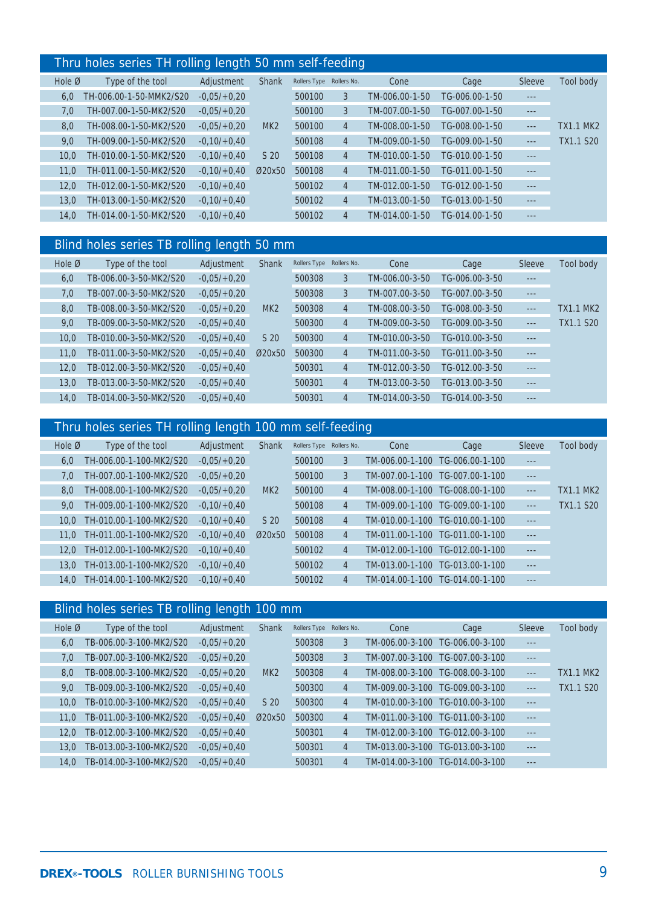#### Thru holes series TH rolling length 50 mm self-feeding

|                  |                         | J.<br>- - -    |                 |                          | ◡              |                |                |          |                  |
|------------------|-------------------------|----------------|-----------------|--------------------------|----------------|----------------|----------------|----------|------------------|
| Hole $\emptyset$ | Type of the tool        | Adjustment     | <b>Shank</b>    | Rollers Type Rollers No. |                | Cone           | Cage           | Sleeve   | Tool body        |
| 6.0              | TH-006.00-1-50-MMK2/S20 | $-0.05/+0.20$  |                 | 500100                   | 3              | TM-006.00-1-50 | TG-006.00-1-50 | $- - -$  |                  |
| 7,0              | TH-007.00-1-50-MK2/S20  | $-0.05/+0.20$  |                 | 500100                   | 3              | TM-007.00-1-50 | TG-007.00-1-50 | $- - -$  |                  |
| 8,0              | TH-008.00-1-50-MK2/S20  | $-0.05/+0.20$  | MK <sub>2</sub> | 500100                   | $\overline{4}$ | TM-008.00-1-50 | TG-008.00-1-50 | $- - -$  | <b>TX1.1 MK2</b> |
| 9.0              | TH-009.00-1-50-MK2/S20  | $-0.10/ +0.40$ |                 | 500108                   | $\overline{4}$ | TM-009.00-1-50 | TG-009.00-1-50 | $\cdots$ | TX1.1 S20        |
| 10.0             | TH-010.00-1-50-MK2/S20  | $-0.10/ +0.40$ | S <sub>20</sub> | 500108                   | $\overline{4}$ | TM-010.00-1-50 | TG-010.00-1-50 | $---$    |                  |
| 11.0             | TH-011.00-1-50-MK2/S20  | $-0.10/ +0.40$ | Ø20x50          | 500108                   | $\overline{4}$ | TM-011.00-1-50 | TG-011.00-1-50 | $- - -$  |                  |
| 12.0             | TH-012.00-1-50-MK2/S20  | $-0.10/ +0.40$ |                 | 500102                   | $\overline{4}$ | TM-012.00-1-50 | TG-012.00-1-50 | $- - -$  |                  |
| 13.0             | TH-013.00-1-50-MK2/S20  | $-0.10/ +0.40$ |                 | 500102                   | $\overline{4}$ | TM-013.00-1-50 | TG-013.00-1-50 | $\cdots$ |                  |
| 14.0             | TH-014.00-1-50-MK2/S20  | $-0.10/ +0.40$ |                 | 500102                   | $\overline{4}$ | TM-014.00-1-50 | TG-014.00-1-50 | $\cdots$ |                  |

### Blind holes series TB rolling length 50 mm

| Hole $\varnothing$ | Type of the tool       | Adjustment    | <b>Shank</b>    | Rollers Type | Rollers No.    | Cone           | Cage           | Sleeve  | Tool body |
|--------------------|------------------------|---------------|-----------------|--------------|----------------|----------------|----------------|---------|-----------|
| 6,0                | TB-006.00-3-50-MK2/S20 | $-0.05/+0.20$ |                 | 500308       | 3              | TM-006.00-3-50 | TG-006.00-3-50 | $- - -$ |           |
| 7,0                | TB-007.00-3-50-MK2/S20 | $-0.05/+0.20$ |                 | 500308       | 3              | TM-007.00-3-50 | TG-007.00-3-50 | $---$   |           |
| 8,0                | TB-008.00-3-50-MK2/S20 | $-0.05/+0.20$ | MK <sub>2</sub> | 500308       | $\overline{4}$ | TM-008.00-3-50 | TG-008.00-3-50 | $- - -$ | TX1.1 MK2 |
| 9,0                | TB-009.00-3-50-MK2/S20 | $-0.05/+0.40$ |                 | 500300       | $\overline{4}$ | TM-009.00-3-50 | TG-009.00-3-50 | $---$   | TX1.1 S20 |
| 10.0               | TB-010.00-3-50-MK2/S20 | $-0.05/+0.40$ | S <sub>20</sub> | 500300       | $\overline{4}$ | TM-010.00-3-50 | TG-010.00-3-50 | $---$   |           |
| 11.0               | TB-011.00-3-50-MK2/S20 | $-0.05/+0.40$ | Ø20x50          | 500300       | $\overline{4}$ | TM-011.00-3-50 | TG-011.00-3-50 | $-- -$  |           |
| 12,0               | TB-012.00-3-50-MK2/S20 | $-0.05/+0.40$ |                 | 500301       | $\overline{4}$ | TM-012.00-3-50 | TG-012.00-3-50 | $-- -$  |           |
| 13.0               | TB-013.00-3-50-MK2/S20 | $-0.05/+0.40$ |                 | 500301       | $\overline{4}$ | TM-013.00-3-50 | TG-013.00-3-50 | $-- -$  |           |
| 14.0               | TB-014.00-3-50-MK2/S20 | $-0.05/+0.40$ |                 | 500301       | $\overline{4}$ | TM-014.00-3-50 | TG-014.00-3-50 | $- - -$ |           |

### Thru holes series TH rolling length 100 mm self-feeding

| Hole $\emptyset$ | Type of the tool        | Adjustment    | <b>Shank</b>    | Rollers Type Rollers No. |                | Cone                            | Cage                            | Sleeve   | Tool body        |
|------------------|-------------------------|---------------|-----------------|--------------------------|----------------|---------------------------------|---------------------------------|----------|------------------|
| 6.0              | TH-006.00-1-100-MK2/S20 | $-0.05/+0.20$ |                 | 500100                   | 3              | TM-006.00-1-100                 | TG-006.00-1-100                 | $- - -$  |                  |
| 7.0              | TH-007.00-1-100-MK2/S20 | $-0.05/+0.20$ |                 | 500100                   | 3              | TM-007.00-1-100                 | TG-007.00-1-100                 | $- - -$  |                  |
| 8.0              | TH-008.00-1-100-MK2/S20 | $-0.05/+0.20$ | MK <sub>2</sub> | 500100                   | 4              | TM-008.00-1-100                 | TG-008.00-1-100                 | $---$    | <b>TX1.1 MK2</b> |
| 9.0              | TH-009.00-1-100-MK2/S20 | $-0,10/+0,40$ |                 | 500108                   | $\overline{4}$ |                                 | TM-009.00-1-100 TG-009.00-1-100 | $\cdots$ | TX1.1 S20        |
| 10.0             | TH-010.00-1-100-MK2/S20 | $-0.10/+0.40$ | S <sub>20</sub> | 500108                   | 4              | TM-010.00-1-100                 | TG-010.00-1-100                 | $- - -$  |                  |
| 11.0             | TH-011.00-1-100-MK2/S20 | $-0,10/+0,40$ | Ø20x50          | 500108                   | 4              | TM-011.00-1-100 TG-011.00-1-100 |                                 | $---$    |                  |
| 12.0             | TH-012.00-1-100-MK2/S20 | $-0,10/+0,40$ |                 | 500102                   | 4              |                                 | TM-012.00-1-100 TG-012.00-1-100 | $---$    |                  |
| 13.0             | TH-013.00-1-100-MK2/S20 | $-0.10/+0.40$ |                 | 500102                   | 4              |                                 | TM-013.00-1-100 TG-013.00-1-100 | $- - -$  |                  |
| 14.0             | TH-014.00-1-100-MK2/S20 | $-0.10/+0.40$ |                 | 500102                   | 4              | TM-014.00-1-100 TG-014.00-1-100 |                                 | $---$    |                  |

### Blind holes series TB rolling length 100 mm

| Hole $\emptyset$ | Type of the tool        | Adjustment    | <b>Shank</b>    | Rollers Type Rollers No. |                | Cone            | Cage            | Sleeve  | Tool body |
|------------------|-------------------------|---------------|-----------------|--------------------------|----------------|-----------------|-----------------|---------|-----------|
| 6.0              | TB-006.00-3-100-MK2/S20 | $-0.05/+0.20$ |                 | 500308                   | 3              | TM-006.00-3-100 | TG-006.00-3-100 | ---     |           |
| 7,0              | TB-007.00-3-100-MK2/S20 | $-0.05/+0.20$ |                 | 500308                   | 3              | TM-007.00-3-100 | TG-007.00-3-100 | $- - -$ |           |
| 8.0              | TB-008.00-3-100-MK2/S20 | $-0.05/+0.20$ | MK <sub>2</sub> | 500308                   | $\overline{4}$ | TM-008.00-3-100 | TG-008.00-3-100 | $---$   | TX1.1 MK2 |
| 9.0              | TB-009.00-3-100-MK2/S20 | $-0.05/+0.40$ |                 | 500300                   | $\overline{4}$ | TM-009.00-3-100 | TG-009.00-3-100 | $---$   | TX1.1 S20 |
| 10.0             | TB-010.00-3-100-MK2/S20 | $-0.05/+0.40$ | S <sub>20</sub> | 500300                   | $\overline{4}$ | TM-010.00-3-100 | TG-010.00-3-100 | $---$   |           |
| 11.0             | TB-011.00-3-100-MK2/S20 | $-0.05/+0.40$ | Ø20x50          | 500300                   | $\overline{4}$ | TM-011.00-3-100 | TG-011.00-3-100 | $ -$    |           |
| 12.0             | TB-012.00-3-100-MK2/S20 | $-0.05/+0.40$ |                 | 500301                   | 4              | TM-012.00-3-100 | TG-012.00-3-100 | ---     |           |
| 13.0             | TB-013.00-3-100-MK2/S20 | $-0.05/+0.40$ |                 | 500301                   | $\overline{4}$ | TM-013.00-3-100 | TG-013.00-3-100 | $---$   |           |
| 14.0             | TB-014.00-3-100-MK2/S20 | $-0.05/+0.40$ |                 | 500301                   | $\overline{4}$ | TM-014.00-3-100 | TG-014.00-3-100 | $- - -$ |           |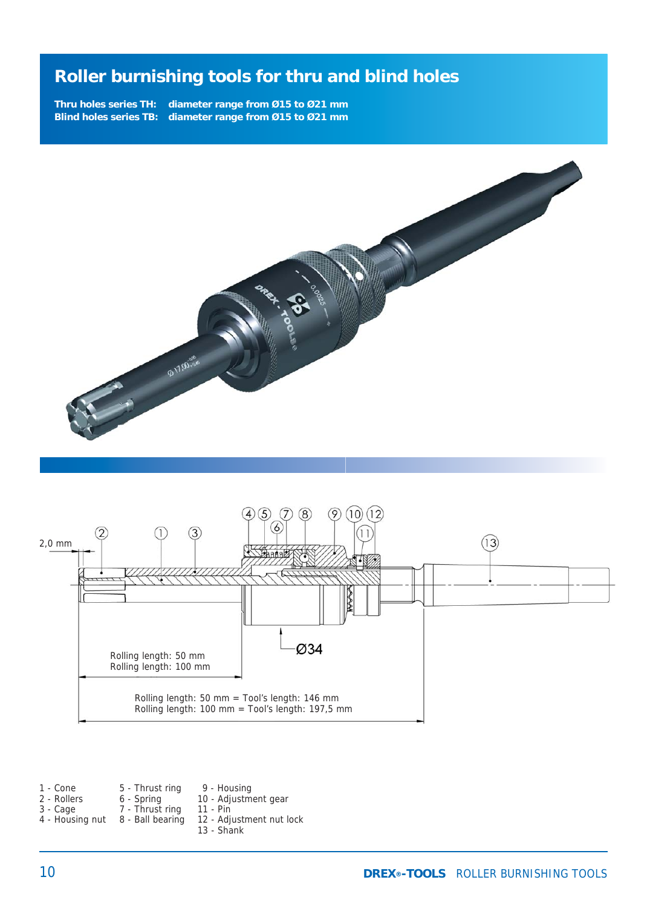**Thru holes series TH: diameter range from Ø15 to Ø21 mm Blind holes series TB: diameter range from Ø15 to Ø21 mm**





1 - Cone 2 - Rollers 3 - Cage 4 - Housing nut 8 - Ball bearing 5 - Thrust ring 6 - Spring 7 - Thrust ring 9 - Housing 10 - Adjustment gear 11 - Pin 12 - Adjustment nut lock 13 - Shank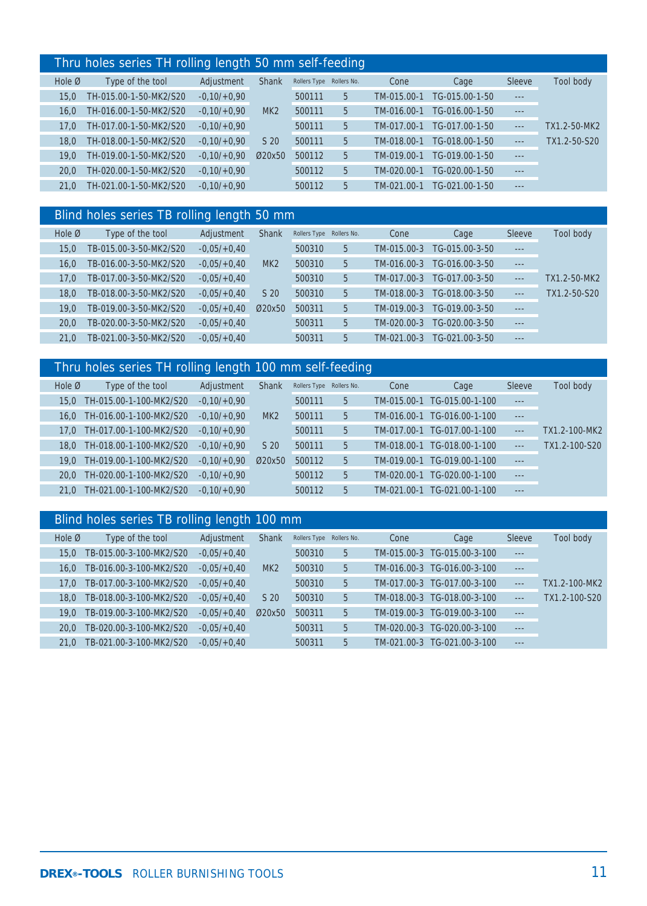#### Thru holes series TH rolling length 50 mm self-feeding

| Hole $\emptyset$ | Type of the tool       | Adjustment    | <b>Shank</b>    | Rollers Type Rollers No. |   | Cone        | Cage           | Sleeve  | Tool body    |
|------------------|------------------------|---------------|-----------------|--------------------------|---|-------------|----------------|---------|--------------|
| 15.0             | TH-015.00-1-50-MK2/S20 | $-0,10/+0,90$ |                 | 500111                   | 5 | TM-015.00-1 | TG-015.00-1-50 | $- - -$ |              |
| 16.0             | TH-016.00-1-50-MK2/S20 | $-0.10/+0.90$ | MK <sub>2</sub> | 500111                   | 5 | TM-016.00-1 | TG-016.00-1-50 | $- - -$ |              |
| 17.0             | TH-017.00-1-50-MK2/S20 | $-0.10/+0.90$ |                 | 500111                   | 5 | TM-017.00-1 | TG-017.00-1-50 | $---$   | TX1.2-50-MK2 |
| 18.0             | TH-018.00-1-50-MK2/S20 | $-0.10/+0.90$ | S 20            | 500111                   | 5 | TM-018.00-1 | TG-018.00-1-50 | $---$   | TX1.2-50-S20 |
| 19.0             | TH-019.00-1-50-MK2/S20 | $-0.10/+0.90$ | Ø20x50          | 500112                   | 5 | TM-019.00-1 | TG-019.00-1-50 | $- - -$ |              |
| 20.0             | TH-020.00-1-50-MK2/S20 | $-0.10/+0.90$ |                 | 500112                   | 5 | TM-020.00-1 | TG-020.00-1-50 | $- - -$ |              |
| 21.0             | TH-021.00-1-50-MK2/S20 | $-0.10/+0.90$ |                 | 500112                   | 5 | TM-021.00-1 | TG-021.00-1-50 | $- - -$ |              |
|                  |                        |               |                 |                          |   |             |                |         |              |

### Blind holes series TB rolling length 50 mm

| Hole $\varnothing$ | Type of the tool       | Adjustment    | <b>Shank</b>    | Rollers Type Rollers No. |   | Cone        | Cage           | Sleeve        | Tool body    |
|--------------------|------------------------|---------------|-----------------|--------------------------|---|-------------|----------------|---------------|--------------|
| 15.0               | TB-015.00-3-50-MK2/S20 | $-0.05/+0.40$ |                 | 500310                   | 5 | TM-015.00-3 | TG-015.00-3-50 | $- - -$       |              |
| 16.0               | TB-016.00-3-50-MK2/S20 | $-0.05/+0.40$ | MK <sub>2</sub> | 500310                   | 5 | TM-016.00-3 | TG-016.00-3-50 | $- - -$       |              |
| 17.0               | TB-017.00-3-50-MK2/S20 | $-0.05/+0.40$ |                 | 500310                   | 5 | TM-017.00-3 | TG-017.00-3-50 | $- - -$       | TX1.2-50-MK2 |
| 18.0               | TB-018.00-3-50-MK2/S20 | $-0.05/+0.40$ | S <sub>20</sub> | 500310                   | 5 | TM-018.00-3 | TG-018.00-3-50 | $\frac{1}{2}$ | TX1.2-50-S20 |
| 19.0               | TB-019.00-3-50-MK2/S20 | $-0.05/+0.40$ | Ø20x50          | 500311                   | 5 | TM-019.00-3 | TG-019.00-3-50 | $- - -$       |              |
| 20.0               | TB-020.00-3-50-MK2/S20 | $-0.05/+0.40$ |                 | 500311                   | 5 | TM-020.00-3 | TG-020.00-3-50 | $- - -$       |              |
| 21.0               | TB-021.00-3-50-MK2/S20 | $-0.05/+0.40$ |                 | 500311                   | 5 | TM-021.00-3 | TG-021.00-3-50 | $- - -$       |              |

# Thru holes series TH rolling length 100 mm self-feeding

| Hole $\varnothing$ | Type of the tool        | Adjustment    | <b>Shank</b>    | Rollers Type Rollers No. |    | Cone        | Cage            | Sleeve  | Tool body     |
|--------------------|-------------------------|---------------|-----------------|--------------------------|----|-------------|-----------------|---------|---------------|
| 15.0               | TH-015.00-1-100-MK2/S20 | $-0,10/+0,90$ |                 | 500111                   | 5  | TM-015.00-1 | TG-015.00-1-100 | $- - -$ |               |
| $16.0^{\circ}$     | TH-016.00-1-100-MK2/S20 | $-0.10/+0.90$ | MK <sub>2</sub> | 500111                   | 5. | TM-016.00-1 | TG-016.00-1-100 | $- - -$ |               |
| 17.0               | TH-017.00-1-100-MK2/S20 | $-0.10/+0.90$ |                 | 500111                   | 5. | TM-017.00-1 | TG-017.00-1-100 | $- - -$ | TX1.2-100-MK2 |
| 18.0               | TH-018.00-1-100-MK2/S20 | $-0.10/+0.90$ | S <sub>20</sub> | 500111                   | 5  | TM-018.00-1 | TG-018.00-1-100 | $---$   | TX1.2-100-S20 |
| 19.0               | TH-019.00-1-100-MK2/S20 | $-0,10/+0,90$ | Ø20x50          | 500112                   | 5  | TM-019.00-1 | TG-019.00-1-100 | $- - -$ |               |
| 20.0               | TH-020.00-1-100-MK2/S20 | $-0.10/+0.90$ |                 | 500112                   | 5  | TM-020.00-1 | TG-020.00-1-100 | $- - -$ |               |
| 21.0               | TH-021.00-1-100-MK2/S20 | $-0.10/+0.90$ |                 | 500112                   | 5  | TM-021.00-1 | TG-021.00-1-100 | $- - -$ |               |

### Blind holes series TB rolling length 100 mm

| Hole $\varnothing$ | Type of the tool        | Adjustment    | Shank           | Rollers Type Rollers No. |   | Cone        | Cage                        | Sleeve  | Tool body     |
|--------------------|-------------------------|---------------|-----------------|--------------------------|---|-------------|-----------------------------|---------|---------------|
| 15.0               | TB-015.00-3-100-MK2/S20 | $-0.05/+0.40$ |                 | 500310                   | 5 |             | TM-015.00-3 TG-015.00-3-100 | $- - -$ |               |
| 16.0               | TB-016.00-3-100-MK2/S20 | $-0.05/+0.40$ | MK2             | 500310                   | 5 | TM-016.00-3 | TG-016.00-3-100             | $- - -$ |               |
| 17.0               | TB-017.00-3-100-MK2/S20 | $-0.05/+0.40$ |                 | 500310                   | 5 |             | TM-017.00-3 TG-017.00-3-100 | $---$   | TX1.2-100-MK2 |
| 18.0               | TB-018.00-3-100-MK2/S20 | $-0.05/+0.40$ | S <sub>20</sub> | 500310                   | 5 | TM-018.00-3 | TG-018.00-3-100             | $---$   | TX1.2-100-S20 |
| 19.0               | TB-019.00-3-100-MK2/S20 | $-0.05/+0.40$ | Ø20x50          | 500311                   | 5 | TM-019.00-3 | TG-019.00-3-100             | $- - -$ |               |
| 20.0               | TB-020.00-3-100-MK2/S20 | $-0.05/+0.40$ |                 | 500311                   | 5 | TM-020.00-3 | TG-020.00-3-100             | $- - -$ |               |
| 21.0               | TB-021.00-3-100-MK2/S20 | $-0.05/+0.40$ |                 | 500311                   | 5 | TM-021.00-3 | TG-021.00-3-100             | $- - -$ |               |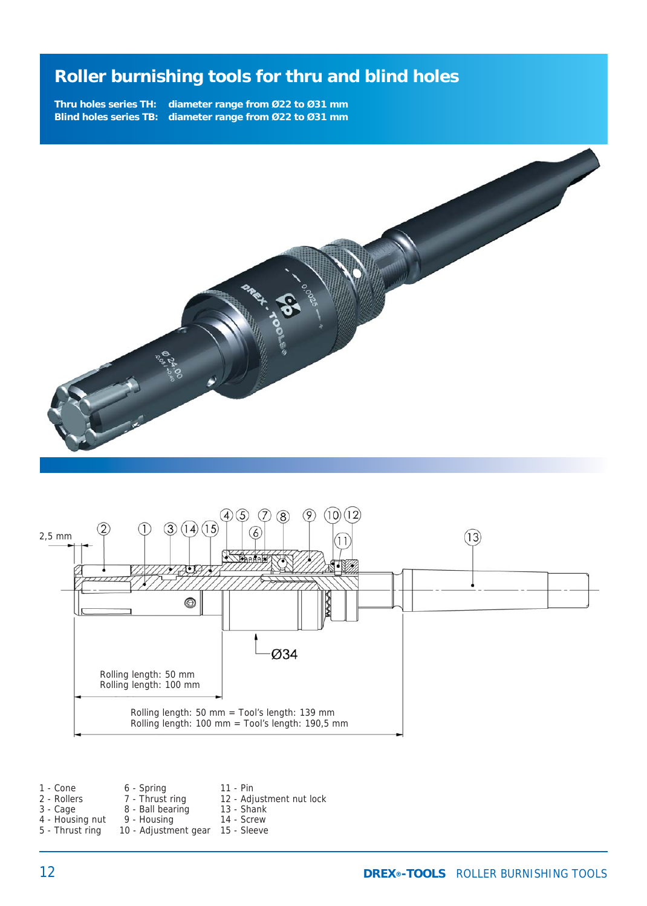**Thru holes series TH: diameter range from Ø22 to Ø31 mm Blind holes series TB: diameter range from Ø22 to Ø31 mm**





1 - Cone 2 - Rollers 3 - Cage 4 - Housing nut 5 - Thrust ring 6 - Spring 7 - Thrust ring 8 - Ball bearing 9 - Housing 10 - Adjustment gear 15 - Sleeve 11 - Pin 12 - Adjustment nut lock 13 - Shank 14 - Screw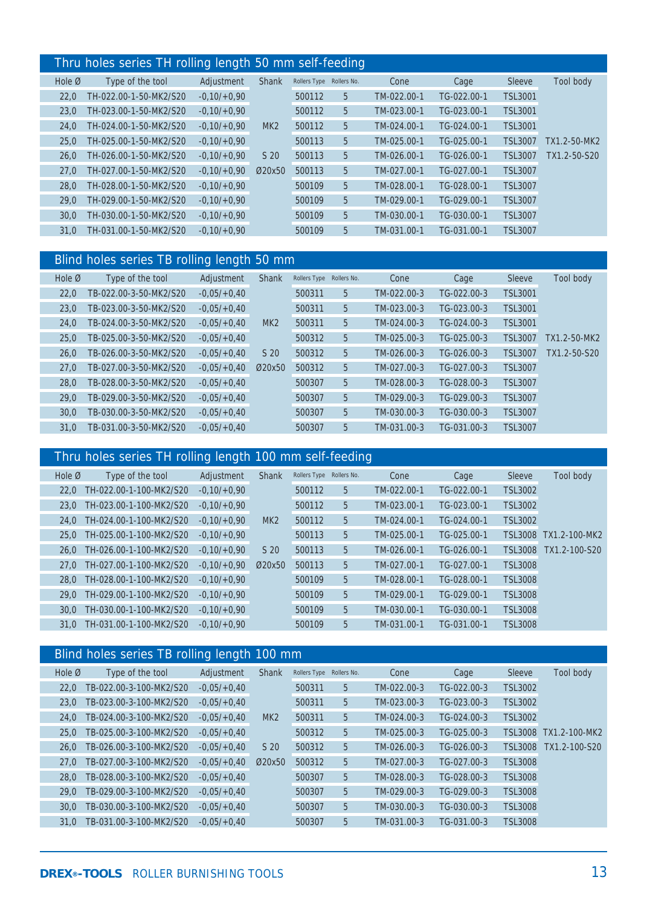#### Thru holes series TH rolling length 50 mm self-feeding

|                    | $1001100$ $111100$ $101100$ $101100$ $11100$ |               |                 |              |             |             |             |                |              |
|--------------------|----------------------------------------------|---------------|-----------------|--------------|-------------|-------------|-------------|----------------|--------------|
| Hole $\varnothing$ | Type of the tool                             | Adjustment    | <b>Shank</b>    | Rollers Type | Rollers No. | Cone        | Cage        | Sleeve         | Tool body    |
| 22,0               | TH-022.00-1-50-MK2/S20                       | $-0,10/+0,90$ |                 | 500112       | 5           | TM-022.00-1 | TG-022.00-1 | <b>TSL3001</b> |              |
| 23,0               | TH-023.00-1-50-MK2/S20                       | $-0,10/+0,90$ |                 | 500112       | 5           | TM-023.00-1 | TG-023.00-1 | <b>TSL3001</b> |              |
| 24,0               | TH-024.00-1-50-MK2/S20                       | $-0.10/+0.90$ | MK <sub>2</sub> | 500112       | 5           | TM-024.00-1 | TG-024.00-1 | <b>TSL3001</b> |              |
| 25,0               | TH-025.00-1-50-MK2/S20                       | $-0.10/+0.90$ |                 | 500113       | 5           | TM-025.00-1 | TG-025.00-1 | <b>TSL3007</b> | TX1.2-50-MK2 |
| 26,0               | TH-026.00-1-50-MK2/S20                       | $-0.10/+0.90$ | S <sub>20</sub> | 500113       | 5           | TM-026.00-1 | TG-026.00-1 | <b>TSL3007</b> | TX1.2-50-S20 |
| 27,0               | TH-027.00-1-50-MK2/S20                       | $-0.10/+0.90$ | Ø20x50          | 500113       | 5           | TM-027.00-1 | TG-027.00-1 | <b>TSL3007</b> |              |
| 28,0               | TH-028.00-1-50-MK2/S20                       | $-0,10/+0,90$ |                 | 500109       | 5           | TM-028.00-1 | TG-028.00-1 | <b>TSL3007</b> |              |
| 29,0               | TH-029.00-1-50-MK2/S20                       | $-0.10/+0.90$ |                 | 500109       | 5           | TM-029.00-1 | TG-029.00-1 | <b>TSL3007</b> |              |
| 30,0               | TH-030.00-1-50-MK2/S20                       | $-0.10/+0.90$ |                 | 500109       | 5           | TM-030.00-1 | TG-030.00-1 | <b>TSL3007</b> |              |
| 31,0               | TH-031.00-1-50-MK2/S20                       | $-0,10/+0,90$ |                 | 500109       | 5           | TM-031.00-1 | TG-031.00-1 | <b>TSL3007</b> |              |
|                    |                                              |               |                 |              |             |             |             |                |              |

### Blind holes series TB rolling length 50 mm

| Hole Ø | Type of the tool       | Adjustment    | <b>Shank</b>    | Rollers Type | Rollers No. | Cone        | Cage        | Sleeve         | Tool body    |
|--------|------------------------|---------------|-----------------|--------------|-------------|-------------|-------------|----------------|--------------|
| 22,0   | TB-022.00-3-50-MK2/S20 | $-0.05/+0.40$ |                 | 500311       | 5           | TM-022.00-3 | TG-022.00-3 | <b>TSL3001</b> |              |
| 23,0   | TB-023.00-3-50-MK2/S20 | $-0.05/+0.40$ |                 | 500311       | 5           | TM-023.00-3 | TG-023.00-3 | <b>TSL3001</b> |              |
| 24,0   | TB-024.00-3-50-MK2/S20 | $-0.05/+0.40$ | MK <sub>2</sub> | 500311       | 5           | TM-024.00-3 | TG-024.00-3 | <b>TSL3001</b> |              |
| 25,0   | TB-025.00-3-50-MK2/S20 | $-0.05/+0.40$ |                 | 500312       | 5           | TM-025.00-3 | TG-025.00-3 | <b>TSL3007</b> | TX1.2-50-MK2 |
| 26,0   | TB-026.00-3-50-MK2/S20 | $-0.05/+0.40$ | S <sub>20</sub> | 500312       | 5           | TM-026.00-3 | TG-026.00-3 | <b>TSL3007</b> | TX1.2-50-S20 |
| 27.0   | TB-027.00-3-50-MK2/S20 | $-0.05/+0.40$ | Ø20x50          | 500312       | 5           | TM-027.00-3 | TG-027.00-3 | <b>TSL3007</b> |              |
| 28.0   | TB-028.00-3-50-MK2/S20 | $-0.05/+0.40$ |                 | 500307       | 5           | TM-028.00-3 | TG-028.00-3 | <b>TSL3007</b> |              |
| 29.0   | TB-029.00-3-50-MK2/S20 | $-0.05/+0.40$ |                 | 500307       | 5           | TM-029.00-3 | TG-029.00-3 | <b>TSL3007</b> |              |
| 30,0   | TB-030.00-3-50-MK2/S20 | $-0.05/+0.40$ |                 | 500307       | 5           | TM-030.00-3 | TG-030.00-3 | <b>TSL3007</b> |              |
| 31.0   | TB-031.00-3-50-MK2/S20 | $-0.05/+0.40$ |                 | 500307       | 5           | TM-031.00-3 | TG-031.00-3 | <b>TSL3007</b> |              |

### Thru holes series TH rolling length 100 mm self-feeding

| Hole $\emptyset$ | Type of the tool        | Adjustment    | <b>Shank</b>    | Rollers Type | Rollers No. | Cone        | Cage        | Sleeve         | Tool body     |
|------------------|-------------------------|---------------|-----------------|--------------|-------------|-------------|-------------|----------------|---------------|
| 22.0             | TH-022.00-1-100-MK2/S20 | $-0.10/+0.90$ |                 | 500112       | 5           | TM-022.00-1 | TG-022.00-1 | <b>TSL3002</b> |               |
| 23.0             | TH-023.00-1-100-MK2/S20 | $-0.10/+0.90$ |                 | 500112       | 5           | TM-023.00-1 | TG-023.00-1 | <b>TSL3002</b> |               |
| 24.0             | TH-024.00-1-100-MK2/S20 | $-0.10/+0.90$ | MK <sub>2</sub> | 500112       | 5           | TM-024.00-1 | TG-024.00-1 | <b>TSL3002</b> |               |
| 25.0             | TH-025.00-1-100-MK2/S20 | $-0,10/+0,90$ |                 | 500113       | 5           | TM-025.00-1 | TG-025.00-1 | <b>TSL3008</b> | TX1.2-100-MK2 |
| 26.0             | TH-026.00-1-100-MK2/S20 | $-0.10/+0.90$ | S <sub>20</sub> | 500113       | 5           | TM-026.00-1 | TG-026.00-1 | <b>TSL3008</b> | TX1.2-100-S20 |
| 27.0             | TH-027.00-1-100-MK2/S20 | $-0.10/+0.90$ | Ø20x50          | 500113       | 5           | TM-027.00-1 | TG-027.00-1 | <b>TSL3008</b> |               |
| 28.0             | TH-028.00-1-100-MK2/S20 | $-0.10/+0.90$ |                 | 500109       | 5           | TM-028.00-1 | TG-028.00-1 | <b>TSL3008</b> |               |
| 29.0             | TH-029.00-1-100-MK2/S20 | $-0.10/+0.90$ |                 | 500109       | 5           | TM-029.00-1 | TG-029.00-1 | <b>TSL3008</b> |               |
| 30.0             | TH-030.00-1-100-MK2/S20 | $-0.10/+0.90$ |                 | 500109       | 5           | TM-030.00-1 | TG-030.00-1 | <b>TSL3008</b> |               |
| 31.0             | TH-031.00-1-100-MK2/S20 | $-0.10/+0.90$ |                 | 500109       | 5           | TM-031.00-1 | TG-031.00-1 | <b>TSL3008</b> |               |

# Blind holes series TB rolling length 100 mm

| Hole Ø | Type of the tool        | Adjustment    | <b>Shank</b>    | Rollers Type | Rollers No. | Cone        | Cage          | Sleeve         | Tool body     |
|--------|-------------------------|---------------|-----------------|--------------|-------------|-------------|---------------|----------------|---------------|
| 22.0   | TB-022.00-3-100-MK2/S20 | $-0.05/+0.40$ |                 | 500311       | 5           | TM-022.00-3 | TG-022.00-3   | <b>TSL3002</b> |               |
| 23.0   | TB-023.00-3-100-MK2/S20 | $-0.05/+0.40$ |                 | 500311       | 5           | TM-023.00-3 | TG-023.00-3   | <b>TSL3002</b> |               |
| 24.0   | TB-024.00-3-100-MK2/S20 | $-0.05/+0.40$ | MK <sub>2</sub> | 500311       | 5           | TM-024.00-3 | $TG-024.00-3$ | <b>TSL3002</b> |               |
| 25.0   | TB-025.00-3-100-MK2/S20 | $-0.05/+0.40$ |                 | 500312       | 5           | TM-025.00-3 | TG-025.00-3   | <b>TSL3008</b> | TX1.2-100-MK2 |
| 26.0   | TB-026.00-3-100-MK2/S20 | $-0.05/+0.40$ | S <sub>20</sub> | 500312       | 5           | TM-026.00-3 | TG-026.00-3   | <b>TSL3008</b> | TX1.2-100-S20 |
| 27.0   | TB-027.00-3-100-MK2/S20 | $-0.05/+0.40$ | Ø20x50          | 500312       | 5           | TM-027.00-3 | TG-027.00-3   | <b>TSL3008</b> |               |
| 28.0   | TB-028.00-3-100-MK2/S20 | $-0.05/+0.40$ |                 | 500307       | 5           | TM-028.00-3 | TG-028.00-3   | <b>TSL3008</b> |               |
| 29.0   | TB-029.00-3-100-MK2/S20 | $-0.05/+0.40$ |                 | 500307       | 5           | TM-029.00-3 | $TG-029.00-3$ | <b>TSL3008</b> |               |
| 30.0   | TB-030.00-3-100-MK2/S20 | $-0.05/+0.40$ |                 | 500307       | 5           | TM-030.00-3 | TG-030.00-3   | <b>TSL3008</b> |               |
| 31.0   | TB-031.00-3-100-MK2/S20 | $-0.05/+0.40$ |                 | 500307       | 5           | TM-031.00-3 | TG-031.00-3   | <b>TSL3008</b> |               |
|        |                         |               |                 |              |             |             |               |                |               |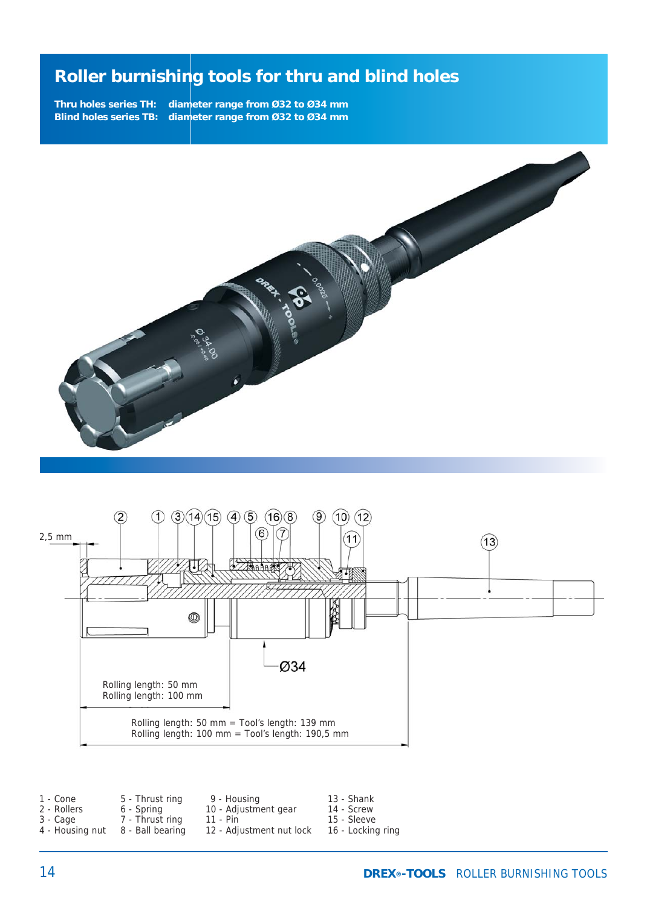**Thru holes series TH: diameter range from Ø32 to Ø34 mm Blind holes series TB: diameter range from Ø32 to Ø34 mm**





| 1 - Cone        | 5 - Thrust ring  | 9 - Housing              | 13 - Shank        |
|-----------------|------------------|--------------------------|-------------------|
| 2 - Rollers     | 6 - Spring       | 10 - Adjustment gear     | 14 - Screw        |
| 3 - Cage        | 7 - Thrust ring  | 11 - Pin                 | 15 - Sleeve       |
| 4 - Housing nut | 8 - Ball bearing | 12 - Adjustment nut lock | 16 - Locking ring |
|                 |                  |                          |                   |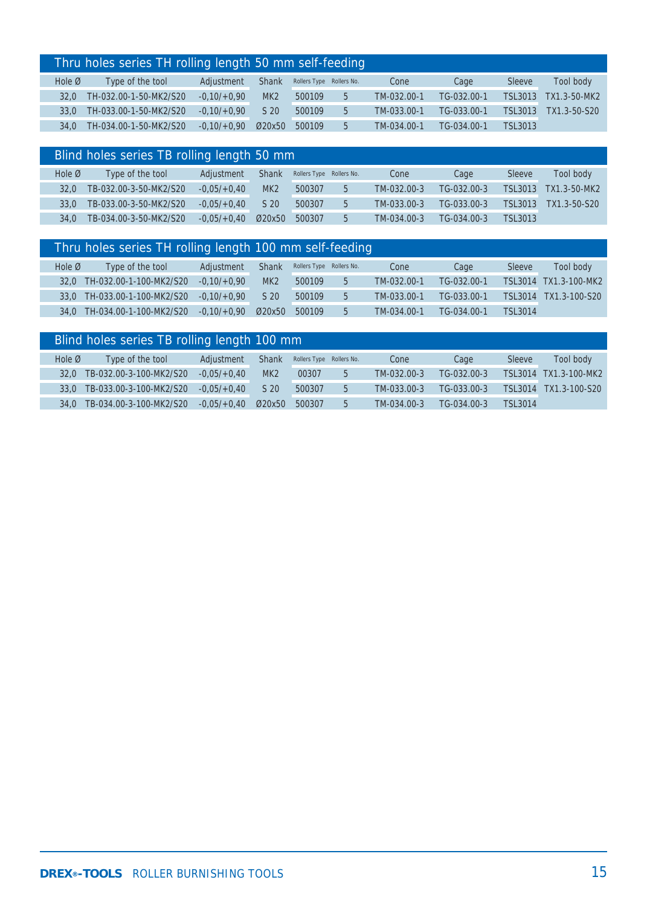|                    | Thru holes series TH rolling length 50 mm self-feeding |               |                 |                          |    |             |             |         |              |  |  |
|--------------------|--------------------------------------------------------|---------------|-----------------|--------------------------|----|-------------|-------------|---------|--------------|--|--|
| Hole $\varnothing$ | Type of the tool                                       | Adjustment    | <b>Shank</b>    | Rollers Type Rollers No. |    | Cone        | Cage        | Sleeve  | Tool body    |  |  |
| 32.0               | TH-032.00-1-50-MK2/S20                                 | $-0.10/+0.90$ | MK <sub>2</sub> | 500109                   | 5. | TM-032.00-1 | TG-032.00-1 | TSL3013 | TX1.3-50-MK2 |  |  |
| 33.0               | TH-033.00-1-50-MK2/S20                                 | $-0.10/+0.90$ | S 20            | 500109                   | 5  | TM-033.00-1 | TG-033.00-1 | TSL3013 | TX1.3-50-S20 |  |  |
| 34.0               | TH-034.00-1-50-MK2/S20                                 | $-0.10/+0.90$ | Ø20x50          | 500109                   | 5  | TM-034.00-1 | TG-034.00-1 | TSL3013 |              |  |  |

|                    | Blind holes series TB rolling length 50 mm |               |                 |                          |   |             |             |                |              |  |  |
|--------------------|--------------------------------------------|---------------|-----------------|--------------------------|---|-------------|-------------|----------------|--------------|--|--|
| Hole $\varnothing$ | Type of the tool                           | Adjustment    | <b>Shank</b>    | Rollers Type Rollers No. |   | Cone        | Cage        | Sleeve         | Tool body    |  |  |
| 32.0               | TB-032.00-3-50-MK2/S20                     | $-0.05/+0.40$ | MK <sub>2</sub> | 500307                   | 5 | TM-032.00-3 | TG-032.00-3 | TSL3013        | TX1.3-50-MK2 |  |  |
| 33.0               | TB-033.00-3-50-MK2/S20                     | $-0.05/+0.40$ | S 20            | 500307                   | 5 | TM-033.00-3 | TG-033.00-3 | TSL3013        | TX1.3-50-S20 |  |  |
| 34.0               | TB-034.00-3-50-MK2/S20                     | $-0.05/+0.40$ | Ø20x50          | 500307                   | 5 | TM-034.00-3 | TG-034.00-3 | <b>TSL3013</b> |              |  |  |

|                    | Thru holes series TH rolling length 100 mm self-feeding |               |                 |                          |   |             |             |                |                       |
|--------------------|---------------------------------------------------------|---------------|-----------------|--------------------------|---|-------------|-------------|----------------|-----------------------|
| Hole $\varnothing$ | Type of the tool                                        | Adjustment    | <b>Shank</b>    | Rollers Type Rollers No. |   | Cone        | Cage        | Sleeve         | Tool body             |
| 32.0               | TH-032.00-1-100-MK2/S20                                 | $-0.10/+0.90$ | MK <sub>2</sub> | 500109                   | 5 | TM-032.00-1 | TG-032.00-1 |                | TSL3014 TX1.3-100-MK2 |
| 33.0               | TH-033.00-1-100-MK2/S20                                 | $-0.10/+0.90$ | S <sub>20</sub> | 500109                   | 5 | TM-033.00-1 | TG-033.00-1 | TSI 3014       | TX1.3-100-S20         |
| 34.0               | TH-034.00-1-100-MK2/S20                                 | $-0.10/+0.90$ | Ø20x50          | 500109                   | 5 | TM-034.00-1 | TG-034.00-1 | <b>TSL3014</b> |                       |

| Blind holes series TB rolling length 100 mm |                         |                  |                 |        |   |                          |             |         |               |
|---------------------------------------------|-------------------------|------------------|-----------------|--------|---|--------------------------|-------------|---------|---------------|
|                                             | Type of the tool        | Adjustment       | <b>Shank</b>    |        |   | Cone                     | Cage        | Sleeve  | Tool body     |
| 32.0                                        | TB-032.00-3-100-MK2/S20 | $-0.05/+0.40$    | MK <sub>2</sub> | 00307  | 5 | TM-032.00-3              | TG-032.00-3 |         | TX1.3-100-MK2 |
| 33.0                                        | TB-033.00-3-100-MK2/S20 | $-0.05/ +0.40$   | S <sub>20</sub> | 500307 | 5 | TM-033.00-3              | TG-033.00-3 | TSL3014 | TX1.3-100-S20 |
| 34.0                                        | TB-034.00-3-100-MK2/S20 | $-0.05/ +0.40$   | Ø20x50          | 500307 | 5 | TM-034.00-3              | TG-034.00-3 | TSL3014 |               |
|                                             |                         | Hole $\emptyset$ |                 |        |   | Rollers Type Rollers No. |             |         | TSL3014       |

I I F

I I

I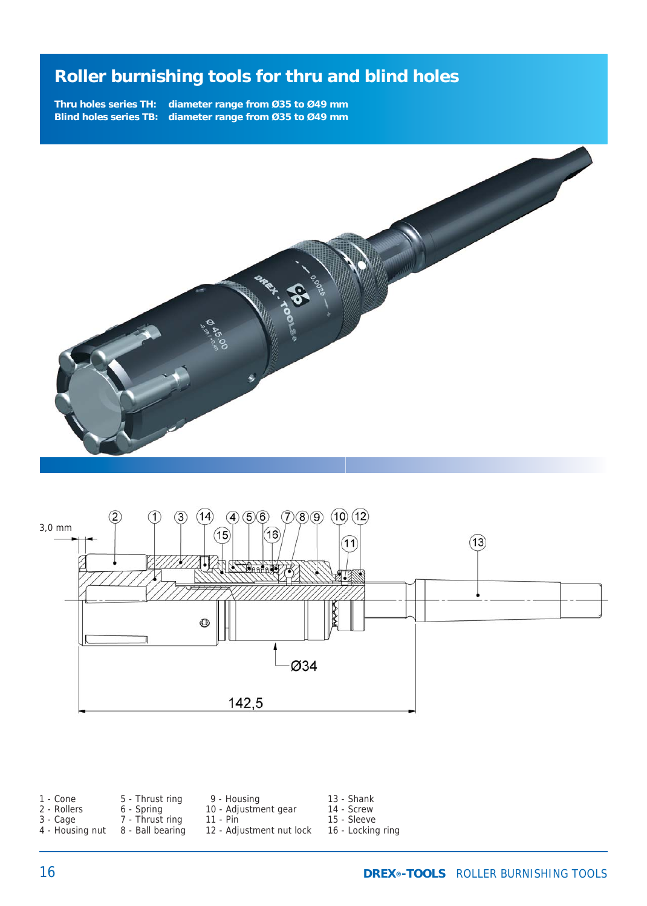**Thru holes series TH: diameter range from Ø35 to Ø49 mm Blind holes series TB: diameter range from Ø35 to Ø49 mm**





| 10 - Adjustment gear<br>2 - Rollers<br>6 - Spring<br>7 - Thrust ring<br>11 - Pin<br>3 - Cage<br>12 - Adjustment nut lock<br>4 - Housing nut<br>8 - Ball bearing | 14 - Screw<br>15 - Sleeve<br>16 - Locking ring |
|-----------------------------------------------------------------------------------------------------------------------------------------------------------------|------------------------------------------------|
|-----------------------------------------------------------------------------------------------------------------------------------------------------------------|------------------------------------------------|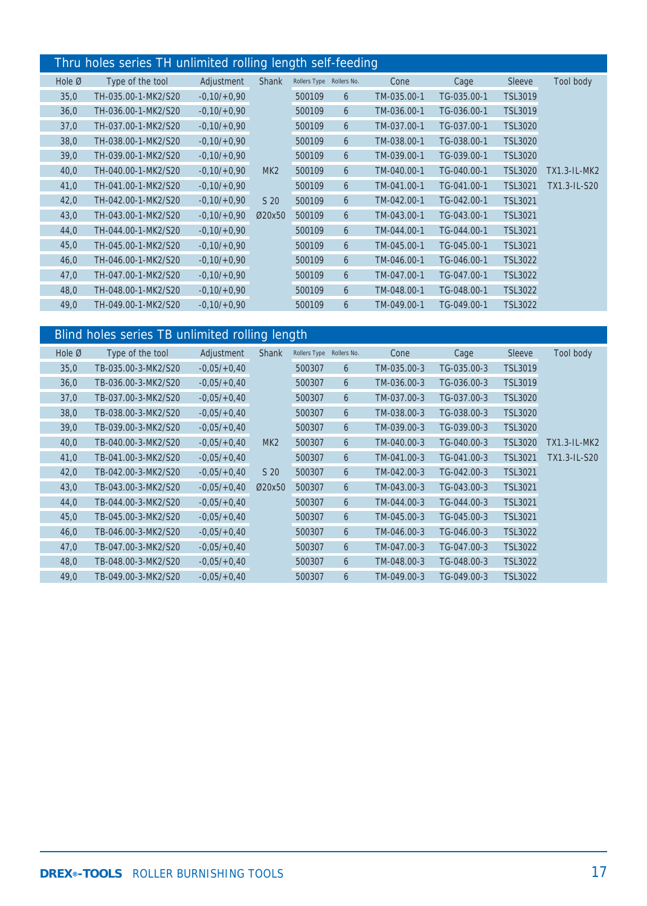#### Thru holes series TH unlimited rolling length self-feeding

|                    |                     |               | -31             | -31          |             | ۰.,         |             |                |                |
|--------------------|---------------------|---------------|-----------------|--------------|-------------|-------------|-------------|----------------|----------------|
| Hole $\varnothing$ | Type of the tool    | Adjustment    | <b>Shank</b>    | Rollers Type | Rollers No. | Cone        | Cage        | <b>Sleeve</b>  | Tool body      |
| 35,0               | TH-035.00-1-MK2/S20 | $-0,10/+0,90$ |                 | 500109       | 6           | TM-035.00-1 | TG-035.00-1 | TSL3019        |                |
| 36,0               | TH-036.00-1-MK2/S20 | $-0,10/+0,90$ |                 | 500109       | 6           | TM-036.00-1 | TG-036.00-1 | <b>TSL3019</b> |                |
| 37,0               | TH-037.00-1-MK2/S20 | $-0.10/+0.90$ |                 | 500109       | 6           | TM-037.00-1 | TG-037.00-1 | <b>TSL3020</b> |                |
| 38,0               | TH-038.00-1-MK2/S20 | $-0.10/+0.90$ |                 | 500109       | 6           | TM-038.00-1 | TG-038.00-1 | <b>TSL3020</b> |                |
| 39,0               | TH-039.00-1-MK2/S20 | $-0,10/+0,90$ |                 | 500109       | 6           | TM-039.00-1 | TG-039.00-1 | <b>TSL3020</b> |                |
| 40,0               | TH-040.00-1-MK2/S20 | $-0.10/+0.90$ | MK <sub>2</sub> | 500109       | 6           | TM-040.00-1 | TG-040.00-1 | <b>TSL3020</b> | $TX1.3-IL-MK2$ |
| 41,0               | TH-041.00-1-MK2/S20 | $-0,10/+0,90$ |                 | 500109       | 6           | TM-041.00-1 | TG-041.00-1 | <b>TSL3021</b> | TX1.3-IL-S20   |
| 42,0               | TH-042.00-1-MK2/S20 | $-0.10/+0.90$ | S 20            | 500109       | 6           | TM-042.00-1 | TG-042.00-1 | <b>TSL3021</b> |                |
| 43,0               | TH-043.00-1-MK2/S20 | $-0,10/+0,90$ | Ø20x50          | 500109       | 6           | TM-043.00-1 | TG-043.00-1 | <b>TSL3021</b> |                |
| 44,0               | TH-044.00-1-MK2/S20 | $-0.10/+0.90$ |                 | 500109       | 6           | TM-044.00-1 | TG-044.00-1 | <b>TSL3021</b> |                |
| 45,0               | TH-045.00-1-MK2/S20 | $-0,10/+0,90$ |                 | 500109       | 6           | TM-045.00-1 | TG-045.00-1 | <b>TSL3021</b> |                |
| 46,0               | TH-046.00-1-MK2/S20 | $-0,10/+0,90$ |                 | 500109       | 6           | TM-046.00-1 | TG-046.00-1 | <b>TSL3022</b> |                |
| 47,0               | TH-047.00-1-MK2/S20 | $-0,10/+0,90$ |                 | 500109       | 6           | TM-047.00-1 | TG-047.00-1 | <b>TSL3022</b> |                |
| 48,0               | TH-048.00-1-MK2/S20 | $-0,10/+0,90$ |                 | 500109       | 6           | TM-048.00-1 | TG-048.00-1 | <b>TSL3022</b> |                |
| 49,0               | TH-049.00-1-MK2/S20 | $-0,10/+0,90$ |                 | 500109       | 6           | TM-049.00-1 | TG-049.00-1 | <b>TSL3022</b> |                |

### Blind holes series TB unlimited rolling length

| Hole Ø | Type of the tool    | Adjustment    | Shank           | Rollers Type | Rollers No. | Cone        | Cage        | <b>Sleeve</b>  | Tool body           |
|--------|---------------------|---------------|-----------------|--------------|-------------|-------------|-------------|----------------|---------------------|
| 35,0   | TB-035.00-3-MK2/S20 | $-0.05/+0.40$ |                 | 500307       | 6           | TM-035.00-3 | TG-035.00-3 | <b>TSL3019</b> |                     |
| 36,0   | TB-036.00-3-MK2/S20 | $-0.05/+0.40$ |                 | 500307       | 6           | TM-036.00-3 | TG-036.00-3 | <b>TSL3019</b> |                     |
| 37,0   | TB-037.00-3-MK2/S20 | $-0.05/+0.40$ |                 | 500307       | 6           | TM-037.00-3 | TG-037.00-3 | <b>TSL3020</b> |                     |
| 38,0   | TB-038.00-3-MK2/S20 | $-0.05/+0.40$ |                 | 500307       | 6           | TM-038.00-3 | TG-038.00-3 | <b>TSL3020</b> |                     |
| 39,0   | TB-039.00-3-MK2/S20 | $-0.05/+0.40$ |                 | 500307       | 6           | TM-039.00-3 | TG-039.00-3 | <b>TSL3020</b> |                     |
| 40,0   | TB-040.00-3-MK2/S20 | $-0.05/+0.40$ | MK <sub>2</sub> | 500307       | 6           | TM-040.00-3 | TG-040.00-3 | <b>TSL3020</b> | <b>TX1.3-IL-MK2</b> |
| 41,0   | TB-041.00-3-MK2/S20 | $-0.05/+0.40$ |                 | 500307       | 6           | TM-041.00-3 | TG-041.00-3 | <b>TSL3021</b> | TX1.3-IL-S20        |
| 42,0   | TB-042.00-3-MK2/S20 | $-0.05/+0.40$ | S <sub>20</sub> | 500307       | 6           | TM-042.00-3 | TG-042.00-3 | <b>TSL3021</b> |                     |
| 43,0   | TB-043.00-3-MK2/S20 | $-0.05/+0.40$ | Ø20x50          | 500307       | 6           | TM-043.00-3 | TG-043.00-3 | <b>TSL3021</b> |                     |
| 44,0   | TB-044.00-3-MK2/S20 | $-0.05/+0.40$ |                 | 500307       | 6           | TM-044.00-3 | TG-044.00-3 | <b>TSL3021</b> |                     |
| 45,0   | TB-045.00-3-MK2/S20 | $-0.05/+0.40$ |                 | 500307       | 6           | TM-045.00-3 | TG-045.00-3 | <b>TSL3021</b> |                     |
| 46,0   | TB-046.00-3-MK2/S20 | $-0.05/+0.40$ |                 | 500307       | 6           | TM-046.00-3 | TG-046.00-3 | <b>TSL3022</b> |                     |
| 47,0   | TB-047.00-3-MK2/S20 | $-0,05/+0,40$ |                 | 500307       | 6           | TM-047.00-3 | TG-047.00-3 | <b>TSL3022</b> |                     |
| 48,0   | TB-048.00-3-MK2/S20 | $-0.05/+0.40$ |                 | 500307       | 6           | TM-048.00-3 | TG-048.00-3 | <b>TSL3022</b> |                     |
| 49,0   | TB-049.00-3-MK2/S20 | $-0.05/+0.40$ |                 | 500307       | 6           | TM-049.00-3 | TG-049.00-3 | <b>TSL3022</b> |                     |
|        |                     |               |                 |              |             |             |             |                |                     |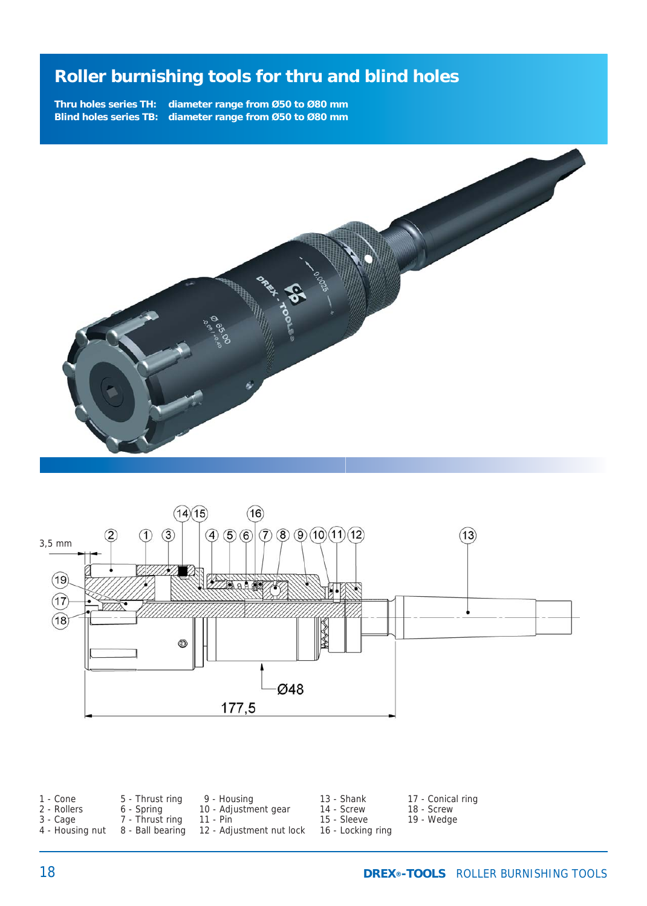**Thru holes series TH: diameter range from Ø50 to Ø80 mm Blind holes series TB: diameter range from Ø50 to Ø80 mm**





| 1 - Cone        | 5 - Thrust ring | 9 - Housing                               | 13 - Shank        | 17 - Conical ring |
|-----------------|-----------------|-------------------------------------------|-------------------|-------------------|
| 2 - Rollers     | 6 - Spring      | 10 - Adjustment gear                      | 14 - Screw        | 18 - Screw        |
| 3 - Cage        | 7 - Thrust rina | - 11 - Pin                                | 15 - Sleeve       | 19 - Wedge        |
| 4 - Housing nut |                 | 8 - Ball bearing 12 - Adjustment nut lock | 16 - Locking ring |                   |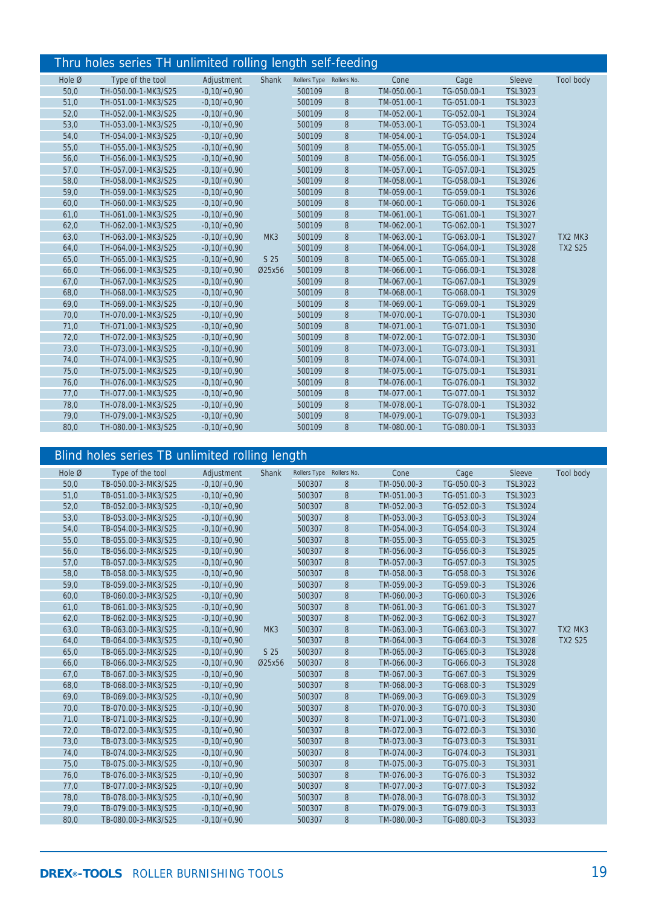#### Thru holes series TH unlimited rolling length self-feeding

|        | www.communication.com/sinuson-room/ |               |        |                          |   |             |             |                |                |
|--------|-------------------------------------|---------------|--------|--------------------------|---|-------------|-------------|----------------|----------------|
| Hole Ø | Type of the tool                    | Adjustment    | Shank  | Rollers Type Rollers No. |   | Cone        | Cage        | Sleeve         | Tool body      |
| 50,0   | TH-050.00-1-MK3/S25                 | $-0.10/+0.90$ |        | 500109                   | 8 | TM-050.00-1 | TG-050.00-1 | <b>TSL3023</b> |                |
| 51,0   | TH-051.00-1-MK3/S25                 | $-0.10/+0.90$ |        | 500109                   | 8 | TM-051.00-1 | TG-051.00-1 | <b>TSL3023</b> |                |
| 52,0   | TH-052.00-1-MK3/S25                 | $-0.10/+0.90$ |        | 500109                   | 8 | TM-052.00-1 | TG-052.00-1 | <b>TSL3024</b> |                |
| 53,0   | TH-053.00-1-MK3/S25                 | $-0.10/+0.90$ |        | 500109                   | 8 | TM-053.00-1 | TG-053.00-1 | <b>TSL3024</b> |                |
| 54,0   | TH-054.00-1-MK3/S25                 | $-0.10/+0.90$ |        | 500109                   | 8 | TM-054.00-1 | TG-054.00-1 | <b>TSL3024</b> |                |
| 55,0   | TH-055.00-1-MK3/S25                 | $-0.10/+0.90$ |        | 500109                   | 8 | TM-055.00-1 | TG-055.00-1 | <b>TSL3025</b> |                |
| 56,0   | TH-056.00-1-MK3/S25                 | $-0.10/+0.90$ |        | 500109                   | 8 | TM-056.00-1 | TG-056.00-1 | <b>TSL3025</b> |                |
| 57,0   | TH-057.00-1-MK3/S25                 | $-0.10/+0.90$ |        | 500109                   | 8 | TM-057.00-1 | TG-057.00-1 | <b>TSL3025</b> |                |
| 58,0   | TH-058.00-1-MK3/S25                 | $-0.10/+0.90$ |        | 500109                   | 8 | TM-058.00-1 | TG-058.00-1 | <b>TSL3026</b> |                |
| 59,0   | TH-059.00-1-MK3/S25                 | $-0.10/+0.90$ |        | 500109                   | 8 | TM-059.00-1 | TG-059.00-1 | <b>TSL3026</b> |                |
| 60,0   | TH-060.00-1-MK3/S25                 | $-0.10/+0.90$ |        | 500109                   | 8 | TM-060.00-1 | TG-060.00-1 | <b>TSL3026</b> |                |
| 61,0   | TH-061.00-1-MK3/S25                 | $-0.10/+0.90$ |        | 500109                   | 8 | TM-061.00-1 | TG-061.00-1 | <b>TSL3027</b> |                |
| 62,0   | TH-062.00-1-MK3/S25                 | $-0.10/+0.90$ |        | 500109                   | 8 | TM-062.00-1 | TG-062.00-1 | <b>TSL3027</b> |                |
| 63,0   | TH-063.00-1-MK3/S25                 | $-0.10/+0.90$ | MK3    | 500109                   | 8 | TM-063.00-1 | TG-063.00-1 | <b>TSL3027</b> | TX2 MK3        |
| 64,0   | TH-064.00-1-MK3/S25                 | $-0.10/+0.90$ |        | 500109                   | 8 | TM-064.00-1 | TG-064.00-1 | <b>TSL3028</b> | <b>TX2 S25</b> |
| 65,0   | TH-065.00-1-MK3/S25                 | $-0,10/+0,90$ | S 25   | 500109                   | 8 | TM-065.00-1 | TG-065.00-1 | <b>TSL3028</b> |                |
| 66,0   | TH-066.00-1-MK3/S25                 | $-0.10/+0.90$ | Ø25x56 | 500109                   | 8 | TM-066.00-1 | TG-066.00-1 | <b>TSL3028</b> |                |
| 67,0   | TH-067.00-1-MK3/S25                 | $-0.10/+0.90$ |        | 500109                   | 8 | TM-067.00-1 | TG-067.00-1 | <b>TSL3029</b> |                |
| 68,0   | TH-068.00-1-MK3/S25                 | $-0.10/+0.90$ |        | 500109                   | 8 | TM-068.00-1 | TG-068.00-1 | <b>TSL3029</b> |                |
| 69,0   | TH-069.00-1-MK3/S25                 | $-0.10/+0.90$ |        | 500109                   | 8 | TM-069.00-1 | TG-069.00-1 | <b>TSL3029</b> |                |
| 70,0   | TH-070.00-1-MK3/S25                 | $-0.10/+0.90$ |        | 500109                   | 8 | TM-070.00-1 | TG-070.00-1 | <b>TSL3030</b> |                |
| 71,0   | TH-071.00-1-MK3/S25                 | $-0.10/+0.90$ |        | 500109                   | 8 | TM-071.00-1 | TG-071.00-1 | <b>TSL3030</b> |                |
| 72,0   | TH-072.00-1-MK3/S25                 | $-0.10/+0.90$ |        | 500109                   | 8 | TM-072.00-1 | TG-072.00-1 | <b>TSL3030</b> |                |
| 73,0   | TH-073.00-1-MK3/S25                 | $-0,10/+0,90$ |        | 500109                   | 8 | TM-073.00-1 | TG-073.00-1 | <b>TSL3031</b> |                |
| 74,0   | TH-074.00-1-MK3/S25                 | $-0.10/+0.90$ |        | 500109                   | 8 | TM-074.00-1 | TG-074.00-1 | <b>TSL3031</b> |                |
| 75,0   | TH-075.00-1-MK3/S25                 | $-0,10/+0,90$ |        | 500109                   | 8 | TM-075.00-1 | TG-075.00-1 | <b>TSL3031</b> |                |
| 76,0   | TH-076.00-1-MK3/S25                 | $-0.10/+0.90$ |        | 500109                   | 8 | TM-076.00-1 | TG-076.00-1 | TSL3032        |                |
| 77,0   | TH-077.00-1-MK3/S25                 | $-0.10/+0.90$ |        | 500109                   | 8 | TM-077.00-1 | TG-077.00-1 | TSL3032        |                |
| 78,0   | TH-078.00-1-MK3/S25                 | $-0,10/+0,90$ |        | 500109                   | 8 | TM-078.00-1 | TG-078.00-1 | <b>TSL3032</b> |                |
| 79,0   | TH-079.00-1-MK3/S25                 | $-0.10/+0.90$ |        | 500109                   | 8 | TM-079.00-1 | TG-079.00-1 | TSL3033        |                |
| 80,0   | TH-080.00-1-MK3/S25                 | $-0.10/+0.90$ |        | 500109                   | 8 | TM-080.00-1 | TG-080.00-1 | TSL3033        |                |
|        |                                     |               |        |                          |   |             |             |                |                |

#### Blind holes series TB unlimited rolling length

| Hole Ø | Type of the tool    | Adjustment    | Shank           | Rollers Type Rollers No. |       | Cone        | Cage        | Sleeve         | Tool body      |
|--------|---------------------|---------------|-----------------|--------------------------|-------|-------------|-------------|----------------|----------------|
| 50,0   | TB-050.00-3-MK3/S25 | $-0.10/+0.90$ |                 | 500307                   | 8     | TM-050.00-3 | TG-050.00-3 | <b>TSL3023</b> |                |
| 51,0   | TB-051.00-3-MK3/S25 | $-0,10/+0,90$ |                 | 500307                   | 8     | TM-051.00-3 | TG-051.00-3 | <b>TSL3023</b> |                |
| 52,0   | TB-052.00-3-MK3/S25 | $-0,10/+0,90$ |                 | 500307                   | 8     | TM-052.00-3 | TG-052.00-3 | <b>TSL3024</b> |                |
| 53,0   | TB-053.00-3-MK3/S25 | $-0,10/+0,90$ |                 | 500307                   | 8     | TM-053.00-3 | TG-053.00-3 | <b>TSL3024</b> |                |
| 54,0   | TB-054.00-3-MK3/S25 | $-0,10/+0,90$ |                 | 500307                   | 8     | TM-054.00-3 | TG-054.00-3 | <b>TSL3024</b> |                |
| 55,0   | TB-055.00-3-MK3/S25 | $-0,10/+0,90$ |                 | 500307                   | $8\,$ | TM-055.00-3 | TG-055.00-3 | <b>TSL3025</b> |                |
| 56,0   | TB-056.00-3-MK3/S25 | $-0.10/+0.90$ |                 | 500307                   | 8     | TM-056.00-3 | TG-056.00-3 | <b>TSL3025</b> |                |
| 57,0   | TB-057.00-3-MK3/S25 | $-0,10/+0,90$ |                 | 500307                   | 8     | TM-057.00-3 | TG-057.00-3 | <b>TSL3025</b> |                |
| 58,0   | TB-058.00-3-MK3/S25 | $-0,10/+0,90$ |                 | 500307                   | 8     | TM-058.00-3 | TG-058.00-3 | <b>TSL3026</b> |                |
| 59,0   | TB-059.00-3-MK3/S25 | $-0.10/+0.90$ |                 | 500307                   | 8     | TM-059.00-3 | TG-059.00-3 | <b>TSL3026</b> |                |
| 60,0   | TB-060.00-3-MK3/S25 | $-0.10/+0.90$ |                 | 500307                   | 8     | TM-060.00-3 | TG-060.00-3 | <b>TSL3026</b> |                |
| 61,0   | TB-061.00-3-MK3/S25 | $-0,10/+0,90$ |                 | 500307                   | 8     | TM-061.00-3 | TG-061.00-3 | <b>TSL3027</b> |                |
| 62,0   | TB-062.00-3-MK3/S25 | $-0,10/+0,90$ |                 | 500307                   | 8     | TM-062.00-3 | TG-062.00-3 | <b>TSL3027</b> |                |
| 63,0   | TB-063.00-3-MK3/S25 | $-0.10/+0.90$ | MK <sub>3</sub> | 500307                   | 8     | TM-063.00-3 | TG-063.00-3 | <b>TSL3027</b> | TX2 MK3        |
| 64,0   | TB-064.00-3-MK3/S25 | $-0.10/+0.90$ |                 | 500307                   | 8     | TM-064.00-3 | TG-064.00-3 | <b>TSL3028</b> | <b>TX2 S25</b> |
| 65,0   | TB-065.00-3-MK3/S25 | $-0.10/+0.90$ | S 25            | 500307                   | 8     | TM-065.00-3 | TG-065.00-3 | <b>TSL3028</b> |                |
| 66,0   | TB-066.00-3-MK3/S25 | $-0,10/+0,90$ | Ø25x56          | 500307                   | 8     | TM-066.00-3 | TG-066.00-3 | <b>TSL3028</b> |                |
| 67,0   | TB-067.00-3-MK3/S25 | $-0.10/+0.90$ |                 | 500307                   | 8     | TM-067.00-3 | TG-067.00-3 | <b>TSL3029</b> |                |
| 68,0   | TB-068.00-3-MK3/S25 | $-0,10/+0,90$ |                 | 500307                   | 8     | TM-068.00-3 | TG-068.00-3 | <b>TSL3029</b> |                |
| 69,0   | TB-069.00-3-MK3/S25 | $-0.10/+0.90$ |                 | 500307                   | 8     | TM-069.00-3 | TG-069.00-3 | <b>TSL3029</b> |                |
| 70,0   | TB-070.00-3-MK3/S25 | $-0,10/+0,90$ |                 | 500307                   | 8     | TM-070.00-3 | TG-070.00-3 | <b>TSL3030</b> |                |
| 71,0   | TB-071.00-3-MK3/S25 | $-0,10/+0,90$ |                 | 500307                   | 8     | TM-071.00-3 | TG-071.00-3 | <b>TSL3030</b> |                |
| 72,0   | TB-072.00-3-MK3/S25 | $-0,10/+0,90$ |                 | 500307                   | 8     | TM-072.00-3 | TG-072.00-3 | <b>TSL3030</b> |                |
| 73,0   | TB-073.00-3-MK3/S25 | $-0,10/+0,90$ |                 | 500307                   | 8     | TM-073.00-3 | TG-073.00-3 | <b>TSL3031</b> |                |
| 74,0   | TB-074.00-3-MK3/S25 | $-0.10/+0.90$ |                 | 500307                   | 8     | TM-074.00-3 | TG-074.00-3 | <b>TSL3031</b> |                |
| 75,0   | TB-075.00-3-MK3/S25 | $-0,10/+0,90$ |                 | 500307                   | 8     | TM-075.00-3 | TG-075.00-3 | <b>TSL3031</b> |                |
| 76,0   | TB-076.00-3-MK3/S25 | $-0,10/+0,90$ |                 | 500307                   | 8     | TM-076.00-3 | TG-076.00-3 | TSL3032        |                |
| 77,0   | TB-077.00-3-MK3/S25 | $-0,10/+0,90$ |                 | 500307                   | 8     | TM-077.00-3 | TG-077.00-3 | TSL3032        |                |
| 78,0   | TB-078.00-3-MK3/S25 | $-0,10/+0,90$ |                 | 500307                   | 8     | TM-078.00-3 | TG-078.00-3 | <b>TSL3032</b> |                |
| 79,0   | TB-079.00-3-MK3/S25 | $-0.10/+0.90$ |                 | 500307                   | 8     | TM-079.00-3 | TG-079.00-3 | TSL3033        |                |
| 80,0   | TB-080.00-3-MK3/S25 | $-0,10/+0,90$ |                 | 500307                   | 8     | TM-080.00-3 | TG-080.00-3 | TSL3033        |                |
|        |                     |               |                 |                          |       |             |             |                |                |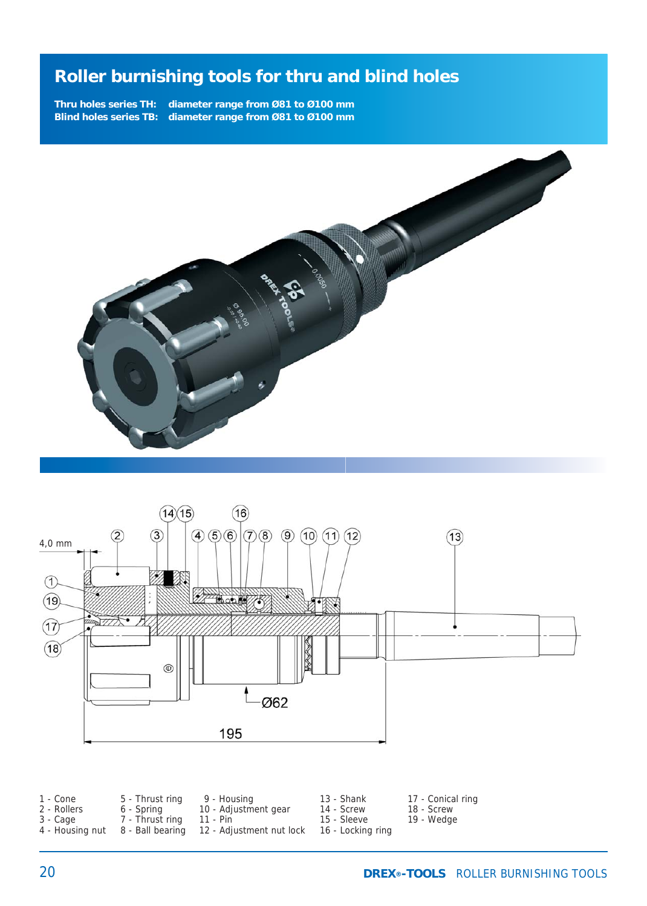**Thru holes series TH: diameter range from Ø81 to Ø100 mm Blind holes series TB: diameter range from Ø81 to Ø100 mm**





| 1 - Cone        | 5 - Thrust ring | 9 - Housina                               | 13 - Shank        | 17 - Conical ring |
|-----------------|-----------------|-------------------------------------------|-------------------|-------------------|
| 2 - Rollers     | 6 - Spring      | 10 - Adjustment gear                      | 14 - Screw        | 18 - Screw        |
| 3 - Cage        | 7 - Thrust ring | – 11 - Pin                                | 15 - Sleeve       | 19 - Wedge        |
| 4 - Housing nut |                 | 8 - Ball bearing 12 - Adjustment nut lock | 16 - Locking ring |                   |